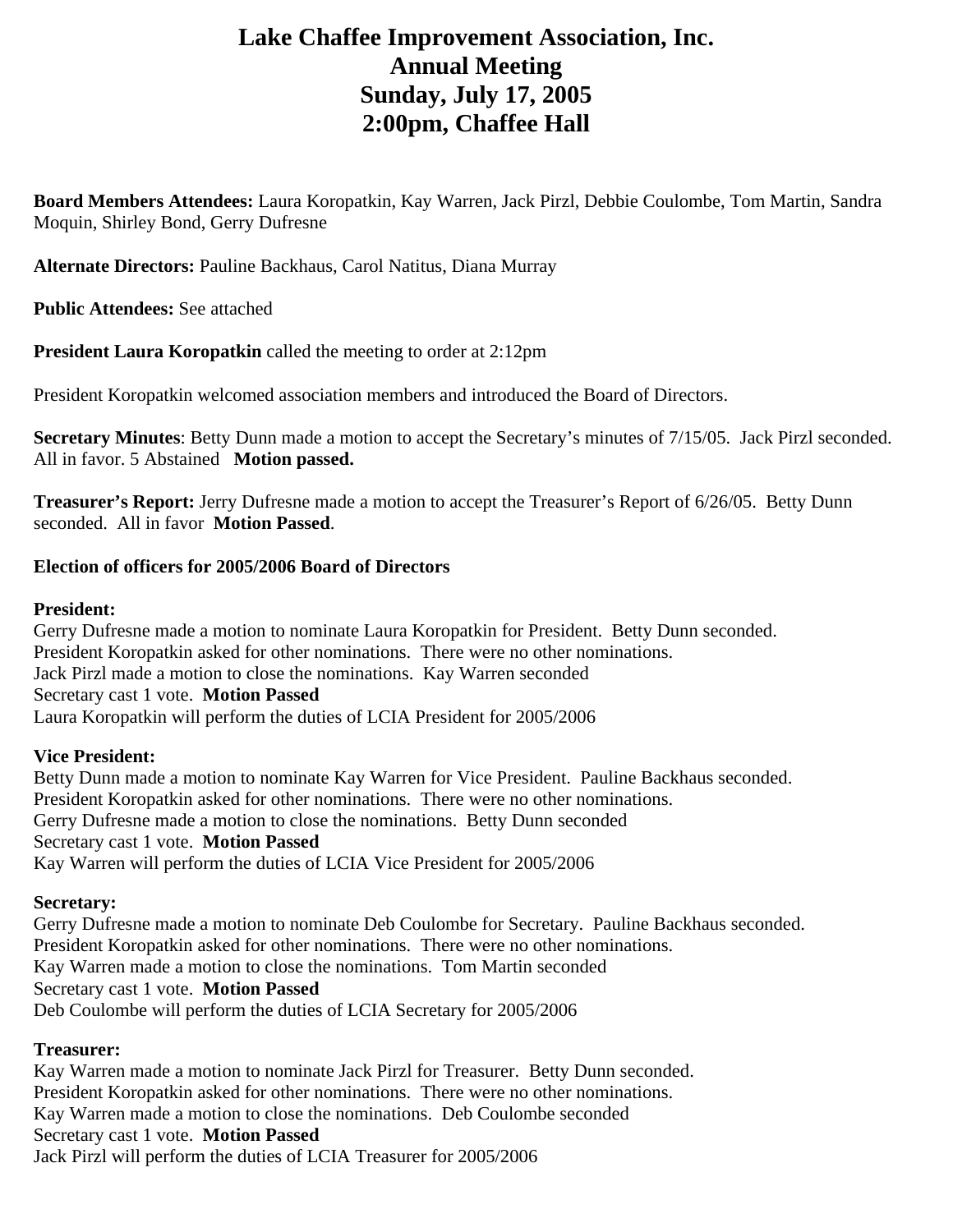# **Lake Chaffee Improvement Association, Inc. Annual Meeting Sunday, July 17, 2005 2:00pm, Chaffee Hall**

**Board Members Attendees:** Laura Koropatkin, Kay Warren, Jack Pirzl, Debbie Coulombe, Tom Martin, Sandra Moquin, Shirley Bond, Gerry Dufresne

**Alternate Directors:** Pauline Backhaus, Carol Natitus, Diana Murray

**Public Attendees:** See attached

**President Laura Koropatkin** called the meeting to order at 2:12pm

President Koropatkin welcomed association members and introduced the Board of Directors.

**Secretary Minutes**: Betty Dunn made a motion to accept the Secretary's minutes of 7/15/05. Jack Pirzl seconded. All in favor. 5 Abstained **Motion passed.** 

**Treasurer's Report:** Jerry Dufresne made a motion to accept the Treasurer's Report of 6/26/05. Betty Dunn seconded. All in favor **Motion Passed**.

#### **Election of officers for 2005/2006 Board of Directors**

#### **President:**

Gerry Dufresne made a motion to nominate Laura Koropatkin for President. Betty Dunn seconded. President Koropatkin asked for other nominations. There were no other nominations. Jack Pirzl made a motion to close the nominations. Kay Warren seconded Secretary cast 1 vote. **Motion Passed**  Laura Koropatkin will perform the duties of LCIA President for 2005/2006

#### **Vice President:**

Betty Dunn made a motion to nominate Kay Warren for Vice President. Pauline Backhaus seconded. President Koropatkin asked for other nominations. There were no other nominations. Gerry Dufresne made a motion to close the nominations. Betty Dunn seconded Secretary cast 1 vote. **Motion Passed**  Kay Warren will perform the duties of LCIA Vice President for 2005/2006

#### **Secretary:**

Gerry Dufresne made a motion to nominate Deb Coulombe for Secretary. Pauline Backhaus seconded. President Koropatkin asked for other nominations. There were no other nominations. Kay Warren made a motion to close the nominations. Tom Martin seconded Secretary cast 1 vote. **Motion Passed**  Deb Coulombe will perform the duties of LCIA Secretary for 2005/2006

#### **Treasurer:**

Kay Warren made a motion to nominate Jack Pirzl for Treasurer. Betty Dunn seconded. President Koropatkin asked for other nominations. There were no other nominations. Kay Warren made a motion to close the nominations. Deb Coulombe seconded Secretary cast 1 vote. **Motion Passed**  Jack Pirzl will perform the duties of LCIA Treasurer for 2005/2006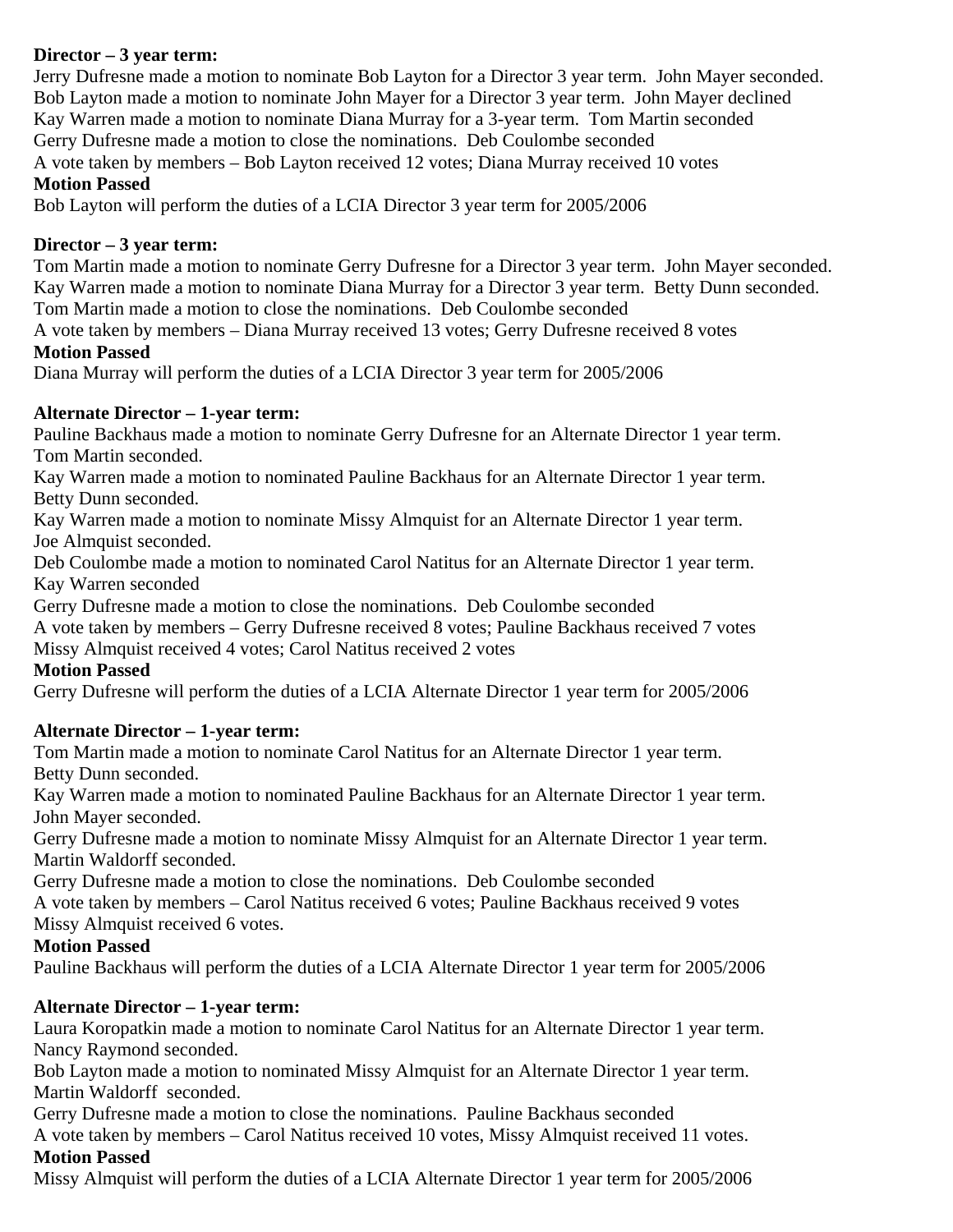### **Director – 3 year term:**

Jerry Dufresne made a motion to nominate Bob Layton for a Director 3 year term. John Mayer seconded. Bob Layton made a motion to nominate John Mayer for a Director 3 year term. John Mayer declined Kay Warren made a motion to nominate Diana Murray for a 3-year term. Tom Martin seconded Gerry Dufresne made a motion to close the nominations. Deb Coulombe seconded A vote taken by members – Bob Layton received 12 votes; Diana Murray received 10 votes **Motion Passed** 

## Bob Layton will perform the duties of a LCIA Director 3 year term for 2005/2006

#### **Director – 3 year term:**

Tom Martin made a motion to nominate Gerry Dufresne for a Director 3 year term. John Mayer seconded. Kay Warren made a motion to nominate Diana Murray for a Director 3 year term. Betty Dunn seconded. Tom Martin made a motion to close the nominations. Deb Coulombe seconded

A vote taken by members – Diana Murray received 13 votes; Gerry Dufresne received 8 votes **Motion Passed** 

Diana Murray will perform the duties of a LCIA Director 3 year term for 2005/2006

#### **Alternate Director – 1-year term:**

Pauline Backhaus made a motion to nominate Gerry Dufresne for an Alternate Director 1 year term. Tom Martin seconded.

Kay Warren made a motion to nominated Pauline Backhaus for an Alternate Director 1 year term. Betty Dunn seconded.

Kay Warren made a motion to nominate Missy Almquist for an Alternate Director 1 year term. Joe Almquist seconded.

Deb Coulombe made a motion to nominated Carol Natitus for an Alternate Director 1 year term. Kay Warren seconded

Gerry Dufresne made a motion to close the nominations. Deb Coulombe seconded

A vote taken by members – Gerry Dufresne received 8 votes; Pauline Backhaus received 7 votes Missy Almquist received 4 votes; Carol Natitus received 2 votes

#### **Motion Passed**

Gerry Dufresne will perform the duties of a LCIA Alternate Director 1 year term for 2005/2006

#### **Alternate Director – 1-year term:**

Tom Martin made a motion to nominate Carol Natitus for an Alternate Director 1 year term. Betty Dunn seconded.

Kay Warren made a motion to nominated Pauline Backhaus for an Alternate Director 1 year term. John Mayer seconded.

Gerry Dufresne made a motion to nominate Missy Almquist for an Alternate Director 1 year term. Martin Waldorff seconded.

Gerry Dufresne made a motion to close the nominations. Deb Coulombe seconded A vote taken by members – Carol Natitus received 6 votes; Pauline Backhaus received 9 votes Missy Almquist received 6 votes.

#### **Motion Passed**

Pauline Backhaus will perform the duties of a LCIA Alternate Director 1 year term for 2005/2006

#### **Alternate Director – 1-year term:**

Laura Koropatkin made a motion to nominate Carol Natitus for an Alternate Director 1 year term. Nancy Raymond seconded.

Bob Layton made a motion to nominated Missy Almquist for an Alternate Director 1 year term. Martin Waldorff seconded.

Gerry Dufresne made a motion to close the nominations. Pauline Backhaus seconded A vote taken by members – Carol Natitus received 10 votes, Missy Almquist received 11 votes. **Motion Passed** 

# Missy Almquist will perform the duties of a LCIA Alternate Director 1 year term for 2005/2006